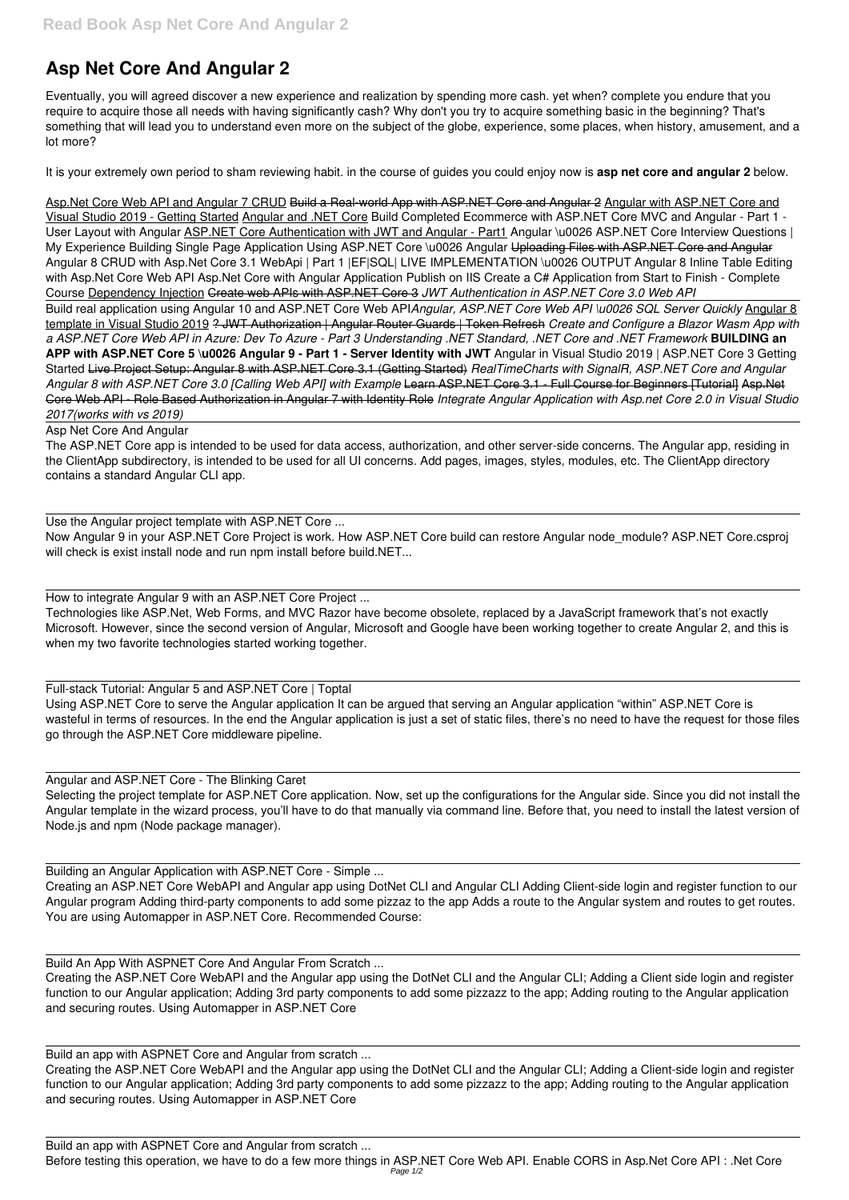# **Asp Net Core And Angular 2**

Eventually, you will agreed discover a new experience and realization by spending more cash. yet when? complete you endure that you require to acquire those all needs with having significantly cash? Why don't you try to acquire something basic in the beginning? That's something that will lead you to understand even more on the subject of the globe, experience, some places, when history, amusement, and a lot more?

It is your extremely own period to sham reviewing habit. in the course of guides you could enjoy now is **asp net core and angular 2** below.

Asp.Net Core Web API and Angular 7 CRUD Build a Real-world App with ASP.NET Core and Angular 2 Angular with ASP.NET Core and Visual Studio 2019 - Getting Started Angular and .NET Core Build Completed Ecommerce with ASP.NET Core MVC and Angular - Part 1 - User Layout with Angular ASP.NET Core Authentication with JWT and Angular - Part1 Angular \u0026 ASP.NET Core Interview Questions | My Experience Building Single Page Application Using ASP.NET Core \u0026 Angular Uploading Files with ASP.NET Core and Angular Angular 8 CRUD with Asp.Net Core 3.1 WebApi | Part 1 |EF|SQL| LIVE IMPLEMENTATION \u0026 OUTPUT Angular 8 Inline Table Editing with Asp.Net Core Web API Asp.Net Core with Angular Application Publish on IIS Create a C# Application from Start to Finish - Complete Course Dependency Injection Create web APIs with ASP.NET Core 3 *JWT Authentication in ASP.NET Core 3.0 Web API* Build real application using Angular 10 and ASP.NET Core Web API*Angular, ASP.NET Core Web API \u0026 SQL Server Quickly* Angular 8 template in Visual Studio 2019 ? JWT Authorization | Angular Router Guards | Token Refresh *Create and Configure a Blazor Wasm App with a ASP.NET Core Web API in Azure: Dev To Azure - Part 3 Understanding .NET Standard, .NET Core and .NET Framework* **BUILDING an**

Now Angular 9 in your ASP.NET Core Project is work. How ASP.NET Core build can restore Angular node\_module? ASP.NET Core.csproj will check is exist install node and run npm install before build.NET...

**APP with ASP.NET Core 5 \u0026 Angular 9 - Part 1 - Server Identity with JWT** Angular in Visual Studio 2019 | ASP.NET Core 3 Getting Started Live Project Setup: Angular 8 with ASP.NET Core 3.1 (Getting Started) *RealTimeCharts with SignalR, ASP.NET Core and Angular Angular 8 with ASP.NET Core 3.0 [Calling Web API] with Example* Learn ASP.NET Core 3.1 - Full Course for Beginners [Tutorial] Asp.Net Core Web API - Role Based Authorization in Angular 7 with Identity Role *Integrate Angular Application with Asp.net Core 2.0 in Visual Studio 2017(works with vs 2019)*

### Asp Net Core And Angular

The ASP.NET Core app is intended to be used for data access, authorization, and other server-side concerns. The Angular app, residing in the ClientApp subdirectory, is intended to be used for all UI concerns. Add pages, images, styles, modules, etc. The ClientApp directory contains a standard Angular CLI app.

Use the Angular project template with ASP.NET Core ...

How to integrate Angular 9 with an ASP.NET Core Project ...

Technologies like ASP.Net, Web Forms, and MVC Razor have become obsolete, replaced by a JavaScript framework that's not exactly Microsoft. However, since the second version of Angular, Microsoft and Google have been working together to create Angular 2, and this is when my two favorite technologies started working together.

### Full-stack Tutorial: Angular 5 and ASP.NET Core | Toptal

Using ASP.NET Core to serve the Angular application It can be argued that serving an Angular application "within" ASP.NET Core is wasteful in terms of resources. In the end the Angular application is just a set of static files, there's no need to have the request for those files go through the ASP.NET Core middleware pipeline.

### Angular and ASP.NET Core - The Blinking Caret

Selecting the project template for ASP.NET Core application. Now, set up the configurations for the Angular side. Since you did not install the Angular template in the wizard process, you'll have to do that manually via command line. Before that, you need to install the latest version of Node.js and npm (Node package manager).

## Building an Angular Application with ASP.NET Core - Simple ...

Creating an ASP.NET Core WebAPI and Angular app using DotNet CLI and Angular CLI Adding Client-side login and register function to our Angular program Adding third-party components to add some pizzaz to the app Adds a route to the Angular system and routes to get routes. You are using Automapper in ASP.NET Core. Recommended Course:

Build An App With ASPNET Core And Angular From Scratch ...

Creating the ASP.NET Core WebAPI and the Angular app using the DotNet CLI and the Angular CLI; Adding a Client side login and register function to our Angular application; Adding 3rd party components to add some pizzazz to the app; Adding routing to the Angular application and securing routes. Using Automapper in ASP.NET Core

Build an app with ASPNET Core and Angular from scratch ...

Creating the ASP.NET Core WebAPI and the Angular app using the DotNet CLI and the Angular CLI; Adding a Client-side login and register function to our Angular application; Adding 3rd party components to add some pizzazz to the app; Adding routing to the Angular application and securing routes. Using Automapper in ASP.NET Core

Build an app with ASPNET Core and Angular from scratch ... Before testing this operation, we have to do a few more things in ASP.NET Core Web API. Enable CORS in Asp.Net Core API : .Net Core Page 1/2